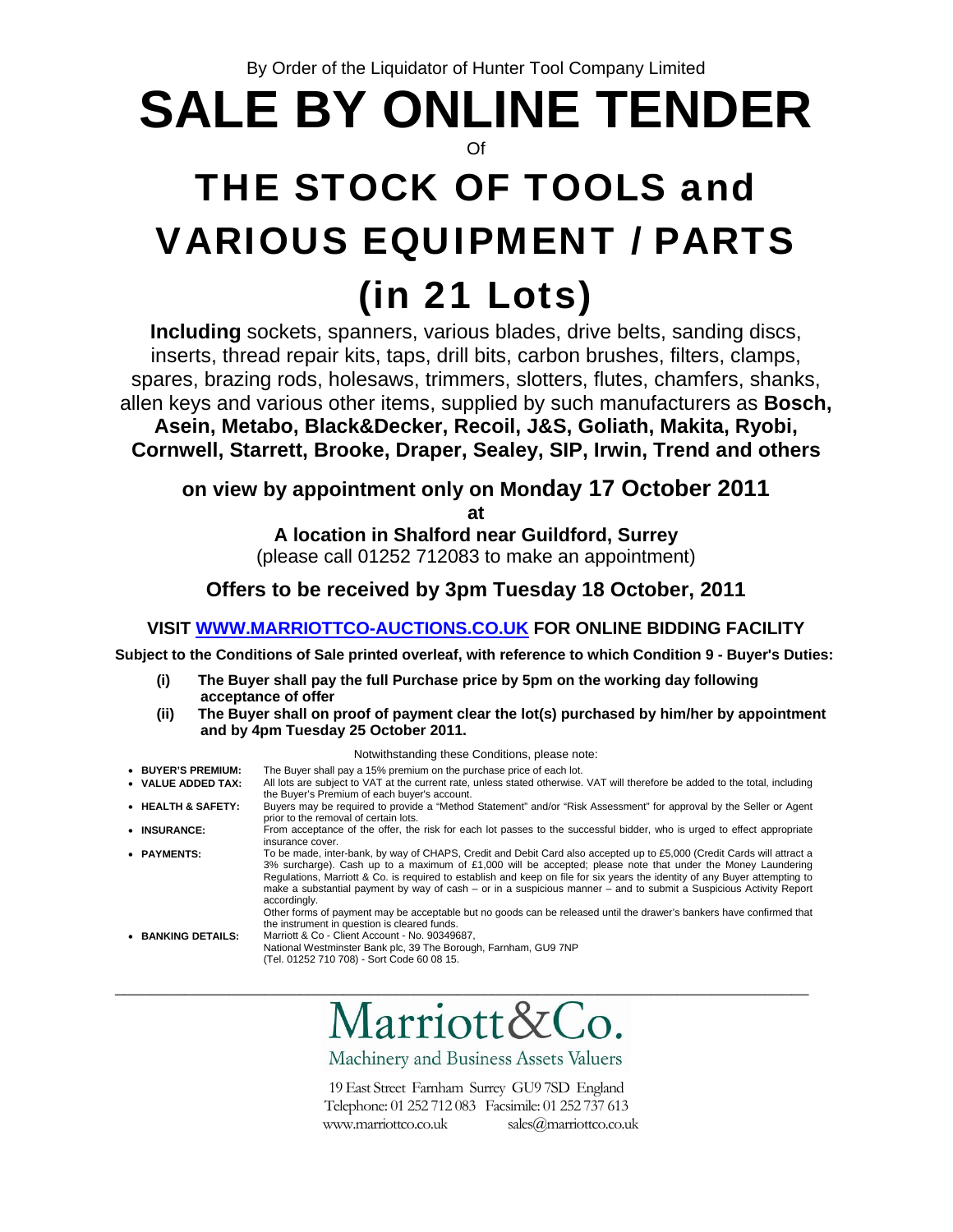By Order of the Liquidator of Hunter Tool Company Limited

## **SALE BY ONLINE TENDER**  Of

# THE STOCK OF TOOLS and VARIOUS EQUIPMENT / PARTS

## (in 21 Lots)

**Including** sockets, spanners, various blades, drive belts, sanding discs, inserts, thread repair kits, taps, drill bits, carbon brushes, filters, clamps, spares, brazing rods, holesaws, trimmers, slotters, flutes, chamfers, shanks, allen keys and various other items, supplied by such manufacturers as **Bosch,** 

**Asein, Metabo, Black&Decker, Recoil, J&S, Goliath, Makita, Ryobi, Cornwell, Starrett, Brooke, Draper, Sealey, SIP, Irwin, Trend and others** 

## **on view by appointment only on Monday 17 October 2011**

**at** 

**A location in Shalford near Guildford, Surrey**  (please call 01252 712083 to make an appointment)

## **Offers to be received by 3pm Tuesday 18 October, 2011**

## **VISIT WWW.MARRIOTTCO-AUCTIONS.CO.UK FOR ONLINE BIDDING FACILITY**

**Subject to the Conditions of Sale printed overleaf, with reference to which Condition 9 - Buyer's Duties:** 

- **(i) The Buyer shall pay the full Purchase price by 5pm on the working day following acceptance of offer**
- **(ii) The Buyer shall on proof of payment clear the lot(s) purchased by him/her by appointment and by 4pm Tuesday 25 October 2011.**

### Notwithstanding these Conditions, please note:

- **BUYER'S PREMIUM:** The Buyer shall pay a 15% premium on the purchase price of each lot.
- **VALUE ADDED TAX:** All lots are subject to VAT at the current rate, unless stated otherwise. VAT will therefore be added to the total, including the Buyer's Premium of each buyer's account. • **HEALTH & SAFETY:** Buyers may be required to provide a "Method Statement" and/or "Risk Assessment" for approval by the Seller or Agent prior to the removal of certain lots. • **INSURANCE:** From acceptance of the offer, the risk for each lot passes to the successful bidder, who is urged to effect appropriate insurance cover. • **PAYMENTS:** To be made, inter-bank, by way of CHAPS, Credit and Debit Card also accepted up to £5,000 (Credit Cards will attract a 3% surcharge). Cash up to a maximum of £1,000 will be accepted; please note that under the Money Laundering Regulations, Marriott & Co. is required to establish and keep on file for six years the identity of any Buyer attempting to make a substantial payment by way of cash – or in a suspicious manner – and to submit a Suspicious Activity Report accordingly. Other forms of payment may be acceptable but no goods can be released until the drawer's bankers have confirmed that the instrument in question is cleared funds. • **BANKING DETAILS:** Marriott & Co - Client Account - No. 90349687,

National Westminster Bank plc, 39 The Borough, Farnham, GU9 7NP (Tel. 01252 710 708) - Sort Code 60 08 15.

\_\_\_\_\_\_\_\_\_\_\_\_\_\_\_\_\_\_\_\_\_\_\_\_\_\_\_\_\_\_\_\_\_\_\_\_\_\_\_\_\_\_\_\_\_\_\_\_\_\_\_\_\_\_\_\_\_\_\_\_\_\_\_\_\_\_\_\_\_\_\_\_\_\_\_\_\_\_\_

Machinery and Business Assets Valuers

19 East Street Farnham Surrey GU9 7SD England Telephone: 01 252 712 083 Facsimile: 01 252 737 613 www.marriottco.co.uk sales@marriottco.co.uk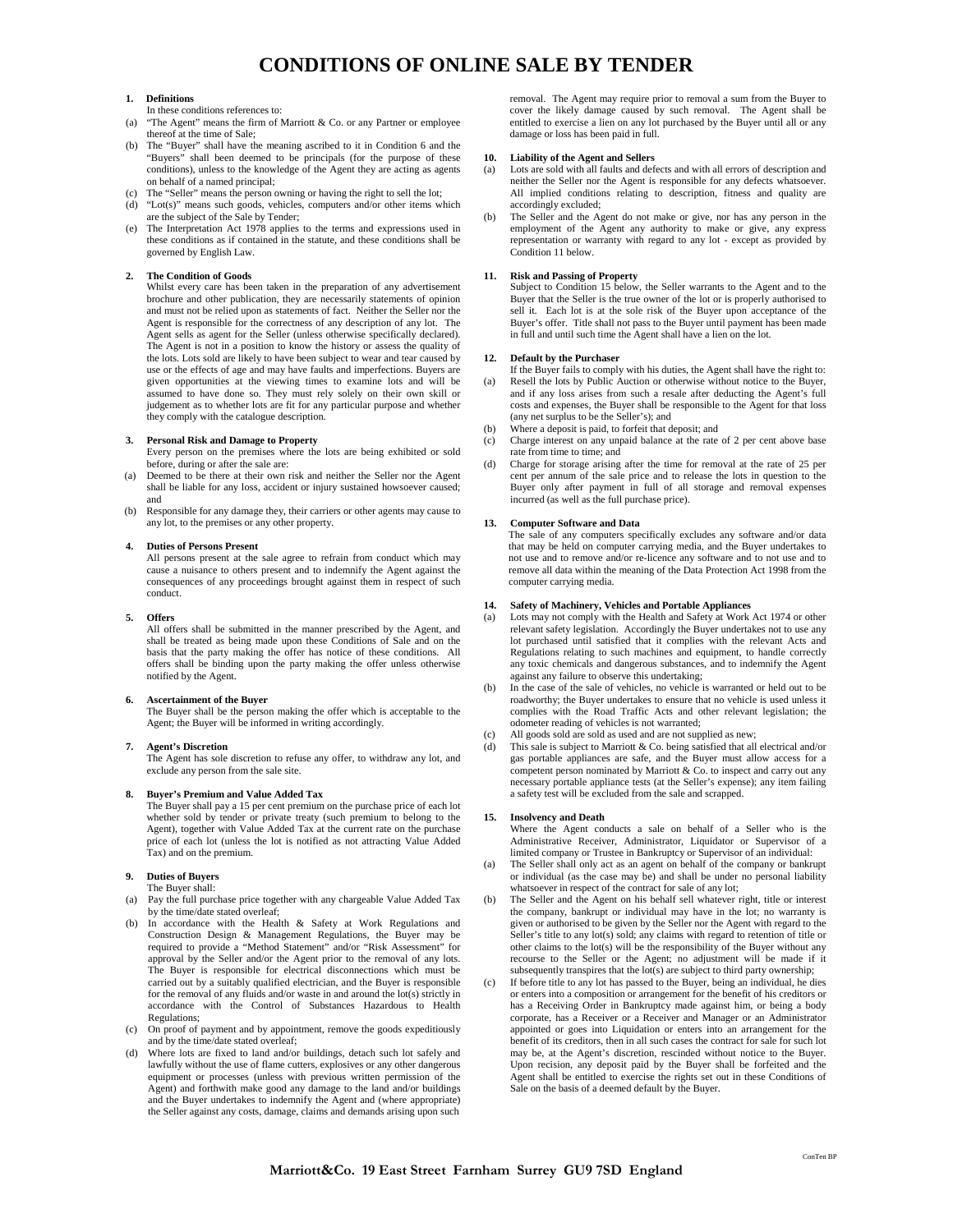## **CONDITIONS OF ONLINE SALE BY TENDER**

#### **1. Definitions**

- In these conditions references to:
- "The Agent" means the firm of Marriott & Co. or any Partner or employee thereof at the time of Sale;
- (b) The "Buyer" shall have the meaning ascribed to it in Condition 6 and the "Buyers" shall been deemed to be principals (for the purpose of these conditions), unless to the knowledge of the Agent they are acting as agents on behalf of a named principal;
- (c) The "Seller" means the person owning or having the right to sell the lot;
- (d) "Lot(s)" means such goods, vehicles, computers and/or other items which are the subject of the Sale by Tender;
- (e) The Interpretation Act 1978 applies to the terms and expressions used in these conditions as if contained in the statute, and these conditions shall be governed by English Law.

#### **2. The Condition of Goods**

Whilst every care has been taken in the preparation of any advertisement brochure and other publication, they are necessarily statements of opinion and must not be relied upon as statements of fact. Neither the Seller nor the Agent is responsible for the correctness of any description of any lot. The Agent sells as agent for the Seller (unless otherwise specifically declared). The Agent is not in a position to know the history or assess the quality of the lots. Lots sold are likely to have been subject to wear and tear caused by use or the effects of age and may have faults and imperfections. Buyers are given opportunities at the viewing times to examine lots and will be assumed to have done so. They must rely solely on their own skill or judgement as to whether lots are fit for any particular purpose and whether they comply with the catalogue description.

#### **3. Personal Risk and Damage to Property**

- Every person on the premises where the lots are being exhibited or sold before, during or after the sale are:
- Deemed to be there at their own risk and neither the Seller nor the Agent shall be liable for any loss, accident or injury sustained howsoever caused; and
- (b) Responsible for any damage they, their carriers or other agents may cause to any lot, to the premises or any other property.

#### **4. Duties of Persons Present**

All persons present at the sale agree to refrain from conduct which may cause a nuisance to others present and to indemnify the Agent against the consequences of any proceedings brought against them in respect of such conduct.

#### **5. Offers**

All offers shall be submitted in the manner prescribed by the Agent, and shall be treated as being made upon these Conditions of Sale and on the basis that the party making the offer has notice of these conditions. All offers shall be binding upon the party making the offer unless otherwise notified by the Agent.

#### **6. Ascertainment of the Buyer**

The Buyer shall be the person making the offer which is acceptable to the Agent; the Buyer will be informed in writing accordingly.

#### **7. Agent's Discretion**

The Agent has sole discretion to refuse any offer, to withdraw any lot, and exclude any person from the sale site.

#### **8. Buyer's Premium and Value Added Tax**

The Buyer shall pay a 15 per cent premium on the purchase price of each lot whether sold by tender or private treaty (such premium to belong to the Agent), together with Value Added Tax at the current rate on the purchase price of each lot (unless the lot is notified as not attracting Value Added Tax) and on the premium.

#### **9. Duties of Buyers**

- The Buyer shall:
- Pay the full purchase price together with any chargeable Value Added Tax by the time/date stated overleaf;
- In accordance with the Health & Safety at Work Regulations and Construction Design & Management Regulations, the Buyer may be required to provide a "Method Statement" and/or "Risk Assessment" for approval by the Seller and/or the Agent prior to the removal of any lots. The Buyer is responsible for electrical disconnections which must be carried out by a suitably qualified electrician, and the Buyer is responsible for the removal of any fluids and/or waste in and around the lot(s) strictly in accordance with the Control of Substances Hazardous to Health Regulations;
- (c) On proof of payment and by appointment, remove the goods expeditiously and by the time/date stated overleaf;
- (d) Where lots are fixed to land and/or buildings, detach such lot safely and lawfully without the use of flame cutters, explosives or any other dangerous equipment or processes (unless with previous written permission of the Agent) and forthwith make good any damage to the land and/or buildings and the Buyer undertakes to indemnify the Agent and (where appropriate) the Seller against any costs, damage, claims and demands arising upon such

removal. The Agent may require prior to removal a sum from the Buyer to cover the likely damage caused by such removal. The Agent shall be entitled to exercise a lien on any lot purchased by the Buyer until all or any damage or loss has been paid in full.

#### **10. Liability of the Agent and Sellers**

- (a) Lots are sold with all faults and defects and with all errors of description and neither the Seller nor the Agent is responsible for any defects whatsoever. All implied conditions relating to description, fitness and quality are accordingly excluded;
- The Seller and the Agent do not make or give, nor has any person in the employment of the Agent any authority to make or give, any express representation or warranty with regard to any lot - except as provided by Condition 11 below.

#### **Risk and Passing of Property**

Subject to Condition 15 below, the Seller warrants to the Agent and to the Buyer that the Seller is the true owner of the lot or is properly authorised to sell it. Each lot is at the sole risk of the Buyer upon acceptance of the Buyer's offer. Title shall not pass to the Buyer until payment has been made in full and until such time the Agent shall have a lien on the lot.

#### **12. Default by the Purchaser**

- If the Buyer fails to comply with his duties, the Agent shall have the right to:<br>(a) Resell the lots by Public Auction or otherwise without notice to the Buyer. Resell the lots by Public Auction or otherwise without notice to the Buyer, and if any loss arises from such a resale after deducting the Agent's full costs and expenses, the Buyer shall be responsible to the Agent for that loss (any net surplus to be the Seller's); and
- (b) Where a deposit is paid, to forfeit that deposit; and
- (c) Charge interest on any unpaid balance at the rate of 2 per cent above base rate from time to time; and
- (d) Charge for storage arising after the time for removal at the rate of 25 per cent per annum of the sale price and to release the lots in question to the Buyer only after payment in full of all storage and removal expenses incurred (as well as the full purchase price).

#### **13. Computer Software and Data**

The sale of any computers specifically excludes any software and/or data that may be held on computer carrying media, and the Buyer undertakes to not use and to remove and/or re-licence any software and to not use and to remove all data within the meaning of the Data Protection Act 1998 from the computer carrying media.

#### **14. Safety of Machinery, Vehicles and Portable Appliances**

- (a) Lots may not comply with the Health and Safety at Work Act 1974 or other relevant safety legislation. Accordingly the Buyer undertakes not to use any lot purchased until satisfied that it complies with the relevant Acts and Regulations relating to such machines and equipment, to handle correctly any toxic chemicals and dangerous substances, and to indemnify the Agent against any failure to observe this undertaking;
- (b) In the case of the sale of vehicles, no vehicle is warranted or held out to be roadworthy; the Buyer undertakes to ensure that no vehicle is used unless it complies with the Road Traffic Acts and other relevant legislation; the odometer reading of vehicles is not warranted;
- (c) All goods sold are sold as used and are not supplied as new;
- (d) This sale is subject to Marriott & Co. being satisfied that all electrical and/or gas portable appliances are safe, and the Buyer must allow access for a competent person nominated by Marriott & Co. to inspect and carry out any necessary portable appliance tests (at the Seller's expense); any item failing a safety test will be excluded from the sale and scrapped.

#### **15. Insolvency and Death**

- Where the Agent conducts a sale on behalf of a Seller who is the Administrative Receiver, Administrator, Liquidator or Supervisor of a limited company or Trustee in Bankruptcy or Supervisor of an individual:
- (a) The Seller shall only act as an agent on behalf of the company or bankrupt or individual (as the case may be) and shall be under no personal liability whatsoever in respect of the contract for sale of any lot;
- (b) The Seller and the Agent on his behalf sell whatever right, title or interest the company, bankrupt or individual may have in the lot; no warranty is given or authorised to be given by the Seller nor the Agent with regard to the Seller's title to any lot(s) sold; any claims with regard to retention of title or other claims to the lot(s) will be the responsibility of the Buyer without any recourse to the Seller or the Agent; no adjustment will be made if it subsequently transpires that the lot(s) are subject to third party ownership;
- (c) If before title to any lot has passed to the Buyer, being an individual, he dies or enters into a composition or arrangement for the benefit of his creditors or has a Receiving Order in Bankruptcy made against him, or being a body corporate, has a Receiver or a Receiver and Manager or an Administrator appointed or goes into Liquidation or enters into an arrangement for the benefit of its creditors, then in all such cases the contract for sale for such lot may be, at the Agent's discretion, rescinded without notice to the Buyer. Upon recision, any deposit paid by the Buyer shall be forfeited and the Agent shall be entitled to exercise the rights set out in these Conditions of Sale on the basis of a deemed default by the Buyer.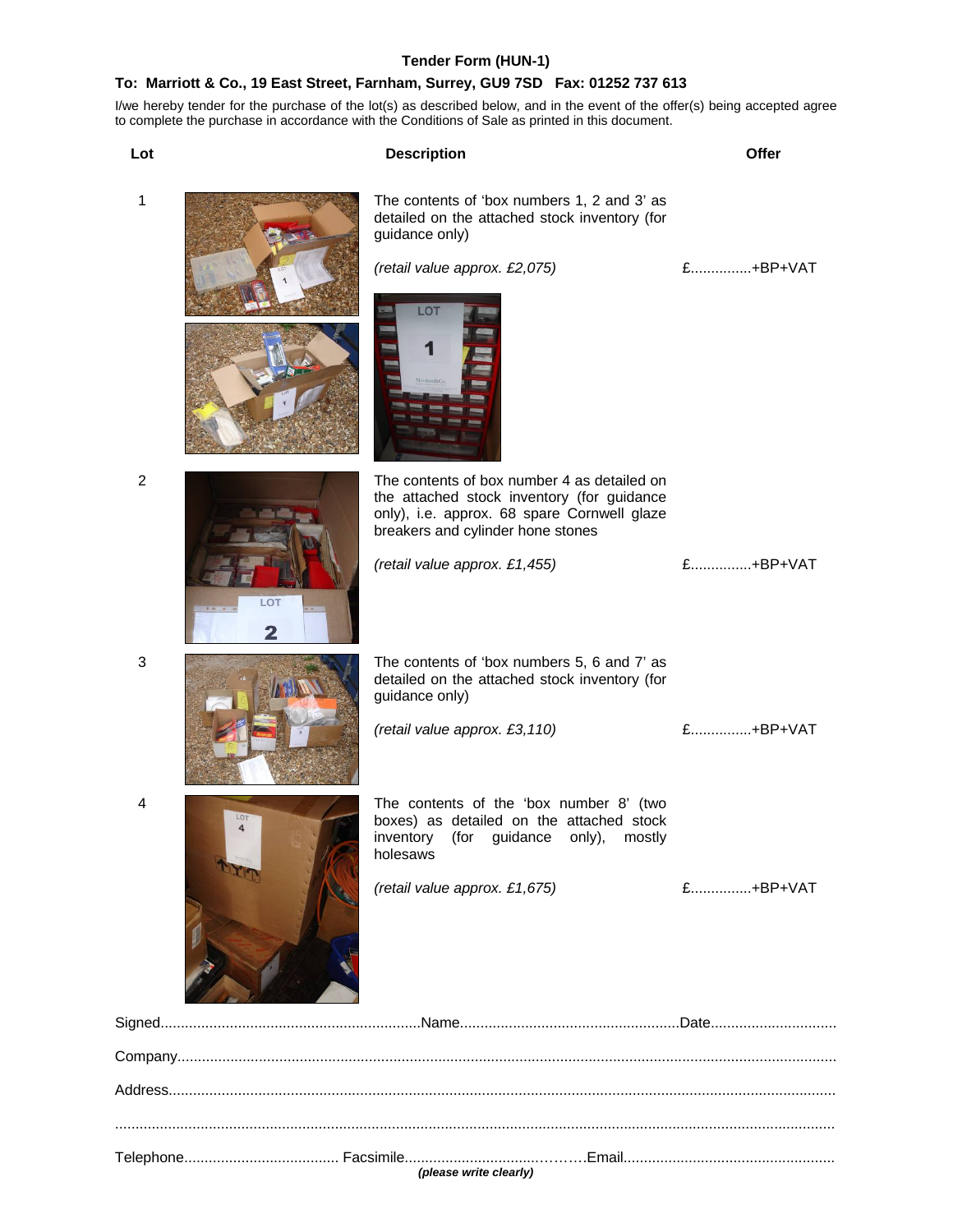#### **Tender Form (HUN-1)**

## **To: Marriott & Co., 19 East Street, Farnham, Surrey, GU9 7SD Fax: 01252 737 613**

I/we hereby tender for the purchase of the lot(s) as described below, and in the event of the offer(s) being accepted agree to complete the purchase in accordance with the Conditions of Sale as printed in this document.

**Lot Description Offer** 1 The contents of 'box numbers 1, 2 and 3' as detailed on the attached stock inventory (for guidance only) *(retail value approx. £2,075)* £...............+BP+VAT LOT 2 **2 The contents of box number 4 as detailed on** the attached stock inventory (for guidance only), i.e. approx. 68 spare Cornwell glaze breakers and cylinder hone stones *(retail value approx. £1,455)* £...............+BP+VAT LO<sup>-</sup> 3 The contents of 'box numbers 5, 6 and 7' as detailed on the attached stock inventory (for guidance only) *(retail value approx. £3,110)* £...............+BP+VAT 4 The contents of the 'box number 8' (two boxes) as detailed on the attached stock inventory (for guidance only), mostly holesaws *(retail value approx. £1,675)* £...............+BP+VAT Signed................................................................Name......................................................Date............................... Company.................................................................................................................................................................. Address.................................................................................................................................................................... ................................................................................................................................................................................. Telephone...................................... Facsimile.................................……….Email....................................................

*(please write clearly)*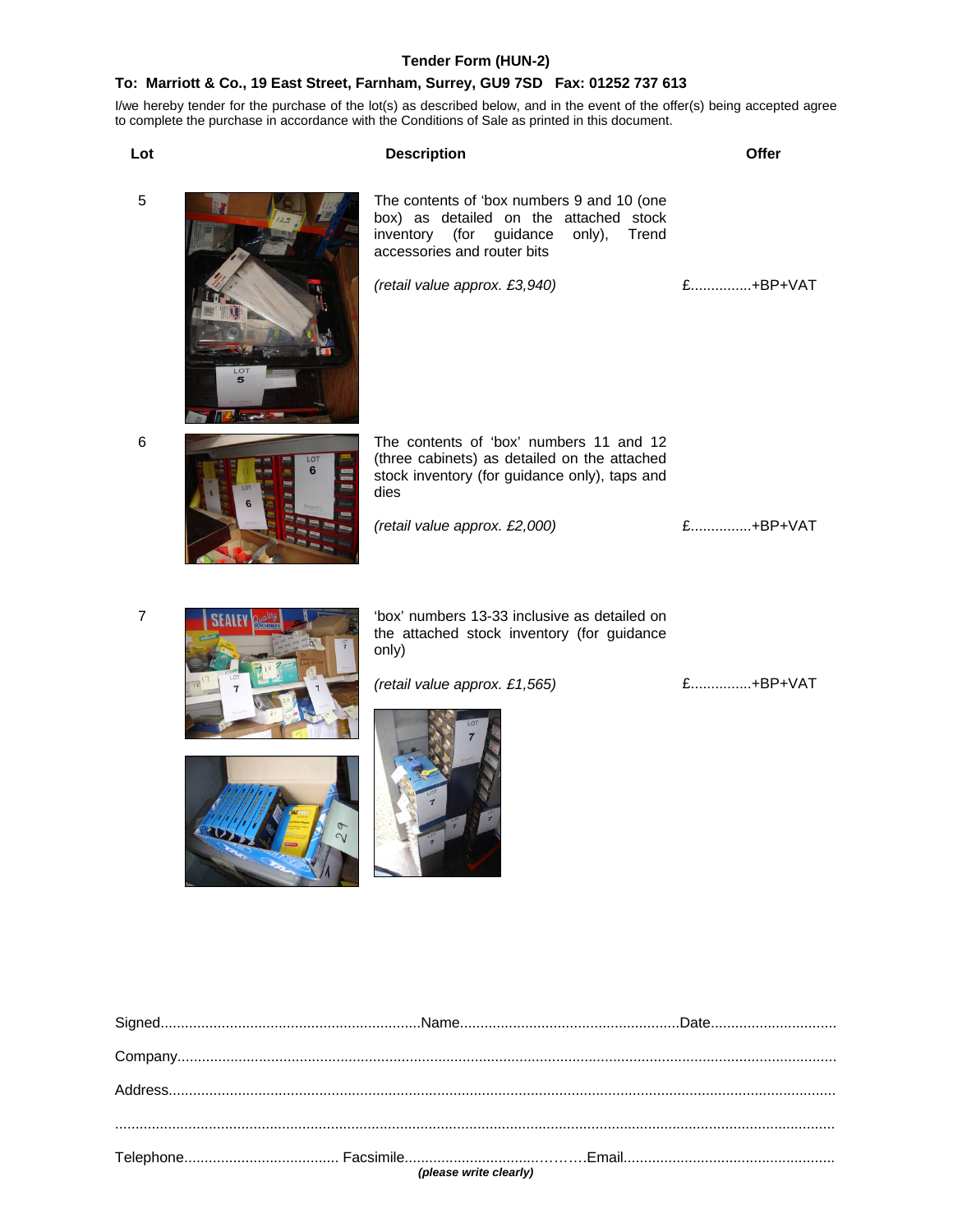## **Tender Form (HUN-2)**

## **To: Marriott & Co., 19 East Street, Farnham, Surrey, GU9 7SD Fax: 01252 737 613**

I/we hereby tender for the purchase of the lot(s) as described below, and in the event of the offer(s) being accepted agree to complete the purchase in accordance with the Conditions of Sale as printed in this document.

| Lot            |              | <b>Description</b>                                                                                                                                                                                 | Offer    |
|----------------|--------------|----------------------------------------------------------------------------------------------------------------------------------------------------------------------------------------------------|----------|
| 5              |              | The contents of 'box numbers 9 and 10 (one<br>box) as detailed on the attached stock<br>inventory (for guidance<br>only),<br>Trend<br>accessories and router bits<br>(retail value approx. £3,940) | £+BP+VAT |
|                | $\circ$<br>5 |                                                                                                                                                                                                    |          |
| 6              | LOT<br>6     | The contents of 'box' numbers 11 and 12<br>(three cabinets) as detailed on the attached<br>stock inventory (for guidance only), taps and<br>dies                                                   |          |
|                |              | (retail value approx. £2,000)                                                                                                                                                                      | £+BP+VAT |
| $\overline{7}$ |              | 'box' numbers 13-33 inclusive as detailed on<br>the attached stock inventory (for guidance<br>only)                                                                                                |          |
|                |              | (retail value approx. £1,565)                                                                                                                                                                      | £+BP+VAT |
|                |              |                                                                                                                                                                                                    |          |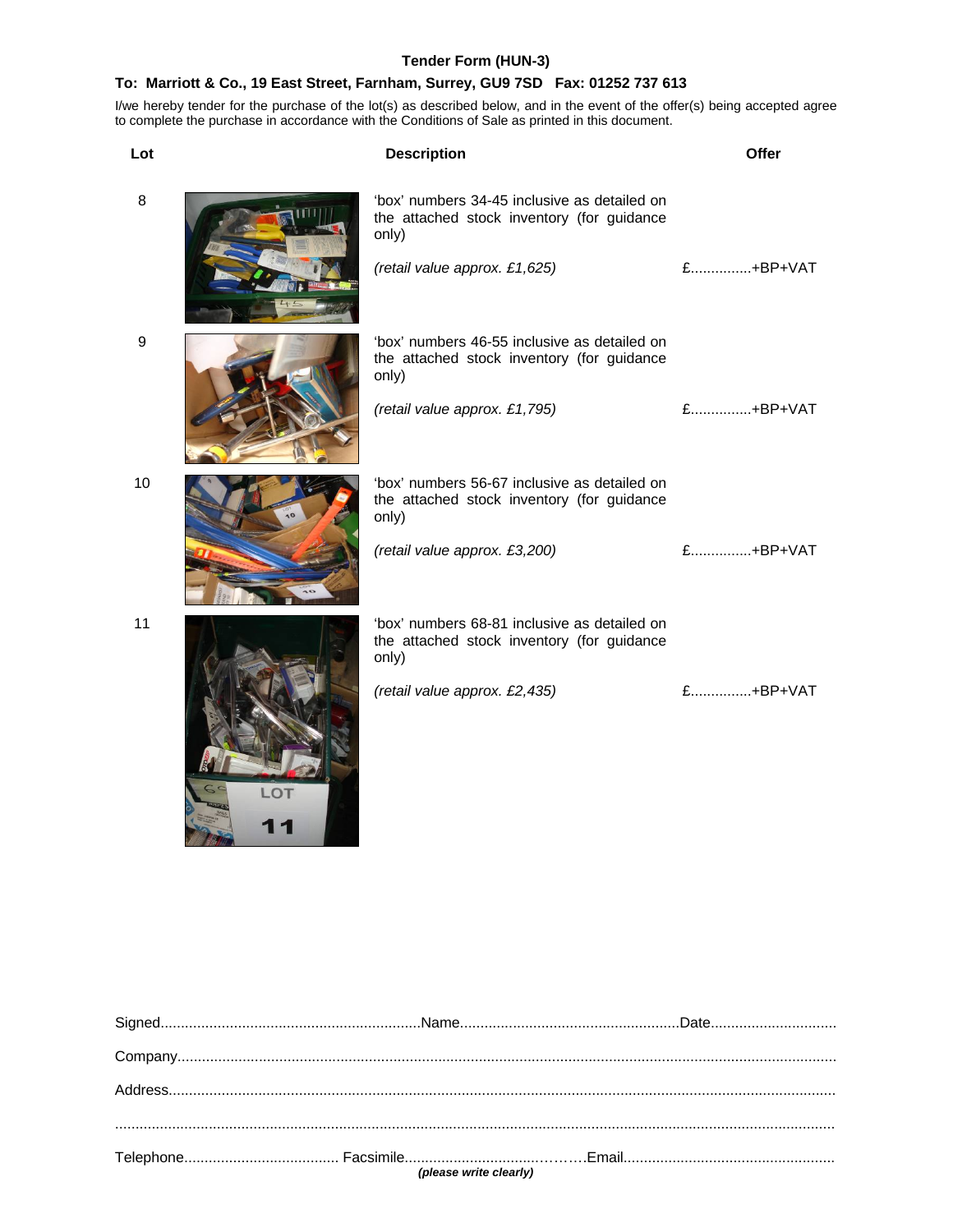## **Tender Form (HUN-3)**

## **To: Marriott & Co., 19 East Street, Farnham, Surrey, GU9 7SD Fax: 01252 737 613**

I/we hereby tender for the purchase of the lot(s) as described below, and in the event of the offer(s) being accepted agree to complete the purchase in accordance with the Conditions of Sale as printed in this document.

| Lot | <b>Description</b>                                                                                                                   | Offer    |
|-----|--------------------------------------------------------------------------------------------------------------------------------------|----------|
| 8   | 'box' numbers 34-45 inclusive as detailed on<br>the attached stock inventory (for guidance<br>only)<br>(retail value approx. £1,625) | £+BP+VAT |
| 9   | 'box' numbers 46-55 inclusive as detailed on<br>the attached stock inventory (for guidance<br>only)<br>(retail value approx. £1,795) | £+BP+VAT |
| 10  | 'box' numbers 56-67 inclusive as detailed on<br>the attached stock inventory (for guidance<br>only)<br>(retail value approx. £3,200) | £+BP+VAT |
| 11  | 'box' numbers 68-81 inclusive as detailed on<br>the attached stock inventory (for guidance<br>only)<br>(retail value approx. £2,435) | £+BP+VAT |

LOT<br>11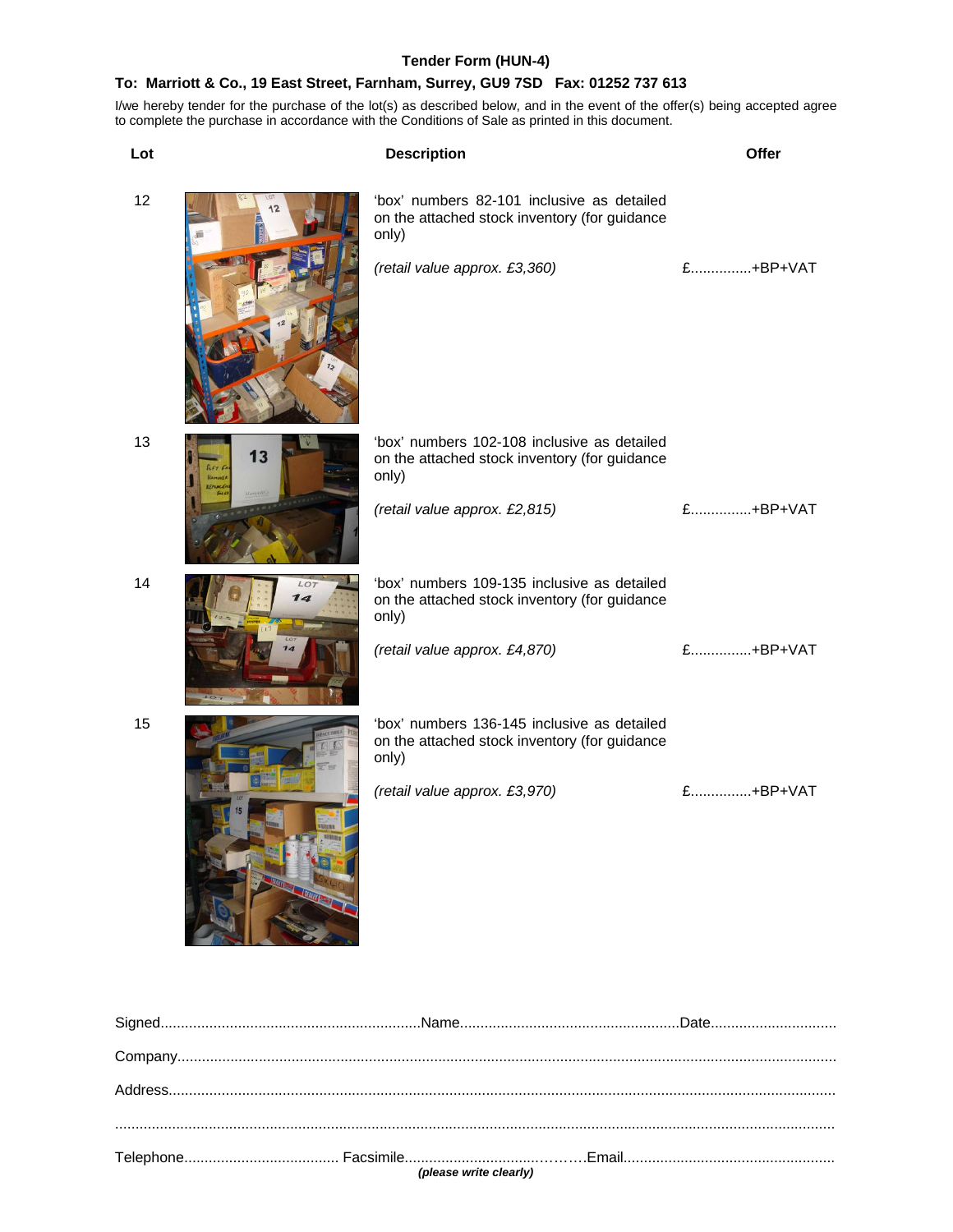## **Tender Form (HUN-4)**

## **To: Marriott & Co., 19 East Street, Farnham, Surrey, GU9 7SD Fax: 01252 737 613**

I/we hereby tender for the purchase of the lot(s) as described below, and in the event of the offer(s) being accepted agree to complete the purchase in accordance with the Conditions of Sale as printed in this document.

| Lot |            | <b>Description</b>                                                                                                                    | Offer       |
|-----|------------|---------------------------------------------------------------------------------------------------------------------------------------|-------------|
| 12  |            | 'box' numbers 82-101 inclusive as detailed<br>on the attached stock inventory (for guidance<br>only)<br>(retail value approx. £3,360) | £+BP+VAT    |
|     |            |                                                                                                                                       |             |
| 13  | 13<br>6676 | 'box' numbers 102-108 inclusive as detailed<br>on the attached stock inventory (for guidance<br>only)                                 |             |
|     |            | (retail value approx. £2,815)                                                                                                         | $f$ +BP+VAT |
| 14  | LOI<br>14  | 'box' numbers 109-135 inclusive as detailed<br>on the attached stock inventory (for guidance<br>only)                                 |             |
|     |            | (retail value approx. £4,870)                                                                                                         | £+BP+VAT    |
| 15  |            | 'box' numbers 136-145 inclusive as detailed<br>on the attached stock inventory (for guidance<br>only)                                 |             |
|     |            | (retail value approx. £3,970)                                                                                                         | £+BP+VAT    |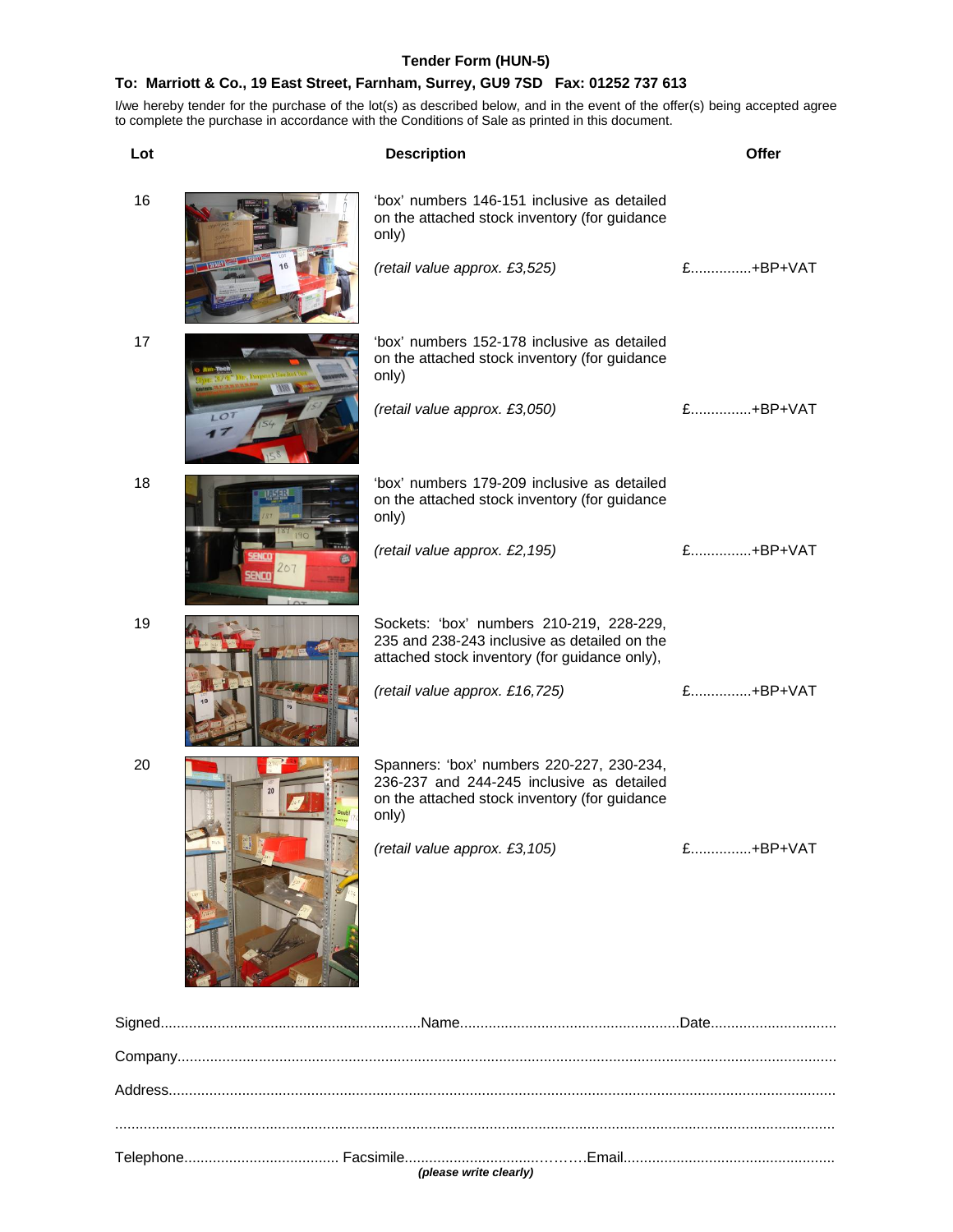## **Tender Form (HUN-5)**

## **To: Marriott & Co., 19 East Street, Farnham, Surrey, GU9 7SD Fax: 01252 737 613**

I/we hereby tender for the purchase of the lot(s) as described below, and in the event of the offer(s) being accepted agree to complete the purchase in accordance with the Conditions of Sale as printed in this document.

| Lot |                 | <b>Description</b>                                                                                                                               | <b>Offer</b>               |
|-----|-----------------|--------------------------------------------------------------------------------------------------------------------------------------------------|----------------------------|
| 16  |                 | 'box' numbers 146-151 inclusive as detailed<br>on the attached stock inventory (for guidance<br>only)                                            |                            |
|     |                 | (retail value approx. £3,525)                                                                                                                    | £+BP+VAT                   |
| 17  |                 | 'box' numbers 152-178 inclusive as detailed<br>on the attached stock inventory (for guidance<br>only)                                            |                            |
|     | LO <sub>1</sub> | (retail value approx. £3,050)                                                                                                                    | £+BP+VAT                   |
| 18  |                 | 'box' numbers 179-209 inclusive as detailed<br>on the attached stock inventory (for guidance<br>only)                                            |                            |
|     |                 | (retail value approx. £2,195)                                                                                                                    | $f$ <sub>1</sub> $+BP+VAT$ |
| 19  |                 | Sockets: 'box' numbers 210-219, 228-229,<br>235 and 238-243 inclusive as detailed on the<br>attached stock inventory (for guidance only),        |                            |
|     |                 | (retail value approx. £16,725)                                                                                                                   | £+BP+VAT                   |
| 20  |                 | Spanners: 'box' numbers 220-227, 230-234,<br>236-237 and 244-245 inclusive as detailed<br>on the attached stock inventory (for guidance<br>only) |                            |
|     |                 | (retail value approx. £3,105)                                                                                                                    | £+BP+VAT                   |
|     |                 |                                                                                                                                                  |                            |
|     |                 |                                                                                                                                                  |                            |
|     |                 |                                                                                                                                                  |                            |
|     |                 |                                                                                                                                                  |                            |
|     |                 |                                                                                                                                                  |                            |

*(please write clearly)*